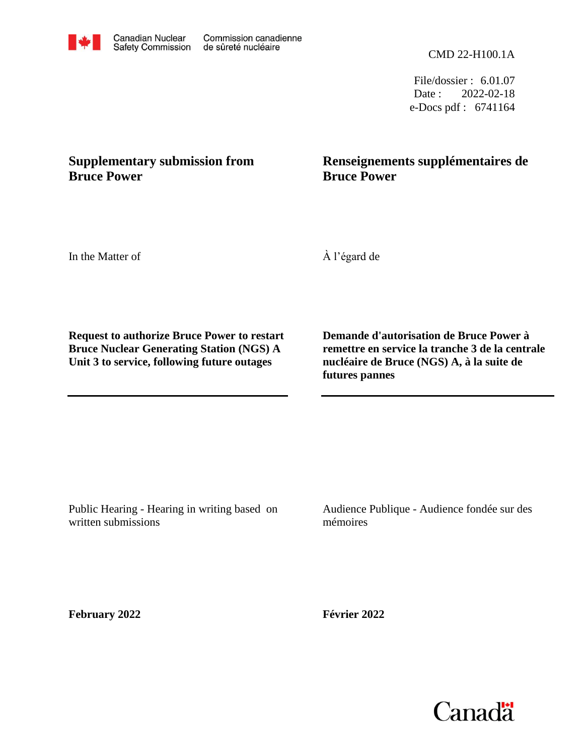CMD 22-H100.1A

File/dossier : 6.01.07 Date : 2022-02-18 e-Docs pdf : 6741164

# **Supplementary submission from Bruce Power**

# **Renseignements supplémentaires de Bruce Power**

In the Matter of

À l'égard de

**Request to authorize Bruce Power to restart Bruce Nuclear Generating Station (NGS) A Unit 3 to service, following future outages**

**Demande d'autorisation de Bruce Power à remettre en service la tranche 3 de la centrale nucléaire de Bruce (NGS) A, à la suite de futures pannes**

Public Hearing - Hearing in writing based on written submissions

Audience Publique - Audience fondée sur des mémoires

**February 2022**

**Février 2022**



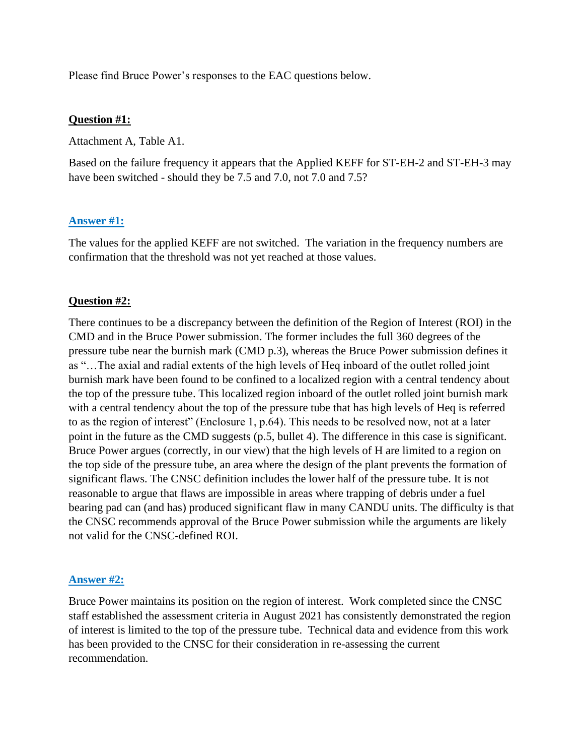Please find Bruce Power's responses to the EAC questions below.

#### **Question #1:**

Attachment A, Table A1.

Based on the failure frequency it appears that the Applied KEFF for ST-EH-2 and ST-EH-3 may have been switched - should they be 7.5 and 7.0, not 7.0 and 7.5?

### **Answer #1:**

The values for the applied KEFF are not switched. The variation in the frequency numbers are confirmation that the threshold was not yet reached at those values.

#### **Question #2:**

There continues to be a discrepancy between the definition of the Region of Interest (ROI) in the CMD and in the Bruce Power submission. The former includes the full 360 degrees of the pressure tube near the burnish mark (CMD p.3), whereas the Bruce Power submission defines it as "…The axial and radial extents of the high levels of Heq inboard of the outlet rolled joint burnish mark have been found to be confined to a localized region with a central tendency about the top of the pressure tube. This localized region inboard of the outlet rolled joint burnish mark with a central tendency about the top of the pressure tube that has high levels of Heq is referred to as the region of interest" (Enclosure 1, p.64). This needs to be resolved now, not at a later point in the future as the CMD suggests (p.5, bullet 4). The difference in this case is significant. Bruce Power argues (correctly, in our view) that the high levels of H are limited to a region on the top side of the pressure tube, an area where the design of the plant prevents the formation of significant flaws. The CNSC definition includes the lower half of the pressure tube. It is not reasonable to argue that flaws are impossible in areas where trapping of debris under a fuel bearing pad can (and has) produced significant flaw in many CANDU units. The difficulty is that the CNSC recommends approval of the Bruce Power submission while the arguments are likely not valid for the CNSC-defined ROI.

#### **Answer #2:**

Bruce Power maintains its position on the region of interest. Work completed since the CNSC staff established the assessment criteria in August 2021 has consistently demonstrated the region of interest is limited to the top of the pressure tube. Technical data and evidence from this work has been provided to the CNSC for their consideration in re-assessing the current recommendation.